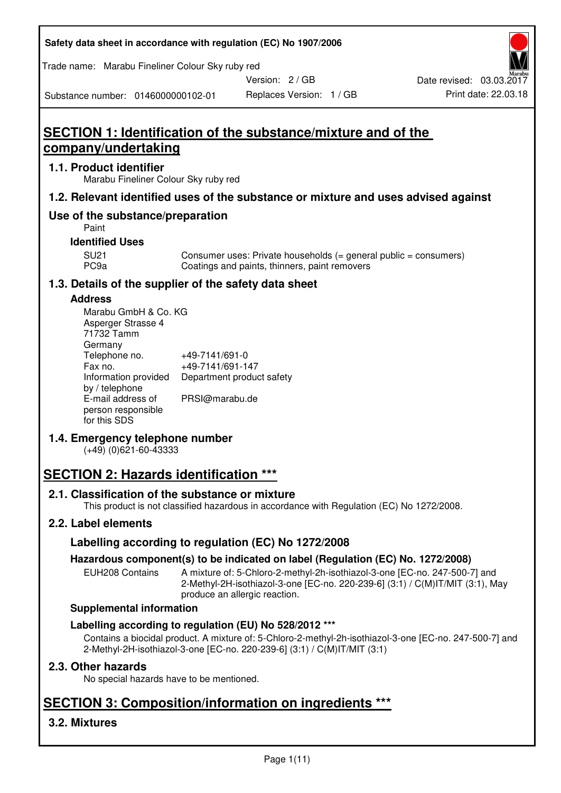| Safety data sheet in accordance with regulation (EC) No 1907/2006 |  |
|-------------------------------------------------------------------|--|
|-------------------------------------------------------------------|--|

Trade name: Marabu Fineliner Colour Sky ruby red

Version: 2 / GB

Substance number: 0146000000102-01

# **SECTION 1: Identification of the substance/mixture and of the company/undertaking**

### **1.1. Product identifier**

Marabu Fineliner Colour Sky ruby red

# **1.2. Relevant identified uses of the substance or mixture and uses advised against**

# **Use of the substance/preparation**

Paint

### **Identified Uses**

SU21 Consumer uses: Private households (= general public = consumers)<br>PC9a Coatings and paints, thinners, paint removers Coatings and paints, thinners, paint removers

# **1.3. Details of the supplier of the safety data sheet**

#### **Address**

| Marabu GmbH & Co. KG |                           |
|----------------------|---------------------------|
| Asperger Strasse 4   |                           |
| 71732 Tamm           |                           |
| Germany              |                           |
| Telephone no.        | +49-7141/691-0            |
| Fax no.              | +49-7141/691-147          |
| Information provided | Department product safety |
| by / telephone       |                           |
| E-mail address of    | PRSI@marabu.de            |
| person responsible   |                           |
| for this SDS         |                           |

# **1.4. Emergency telephone number**

(+49) (0)621-60-43333

# **SECTION 2: Hazards identification \*\*\***

# **2.1. Classification of the substance or mixture**

This product is not classified hazardous in accordance with Regulation (EC) No 1272/2008.

# **2.2. Label elements**

# **Labelling according to regulation (EC) No 1272/2008**

# **Hazardous component(s) to be indicated on label (Regulation (EC) No. 1272/2008)**

EUH208 Contains A mixture of: 5-Chloro-2-methyl-2h-isothiazol-3-one [EC-no. 247-500-7] and 2-Methyl-2H-isothiazol-3-one [EC-no. 220-239-6] (3:1) / C(M)IT/MIT (3:1), May produce an allergic reaction.

#### **Supplemental information**

# **Labelling according to regulation (EU) No 528/2012 \*\*\***

Contains a biocidal product. A mixture of: 5-Chloro-2-methyl-2h-isothiazol-3-one [EC-no. 247-500-7] and 2-Methyl-2H-isothiazol-3-one [EC-no. 220-239-6] (3:1) / C(M)IT/MIT (3:1)

# **2.3. Other hazards**

No special hazards have to be mentioned.

# **SECTION 3: Composition/information on ingredients \*\*\***

# **3.2. Mixtures**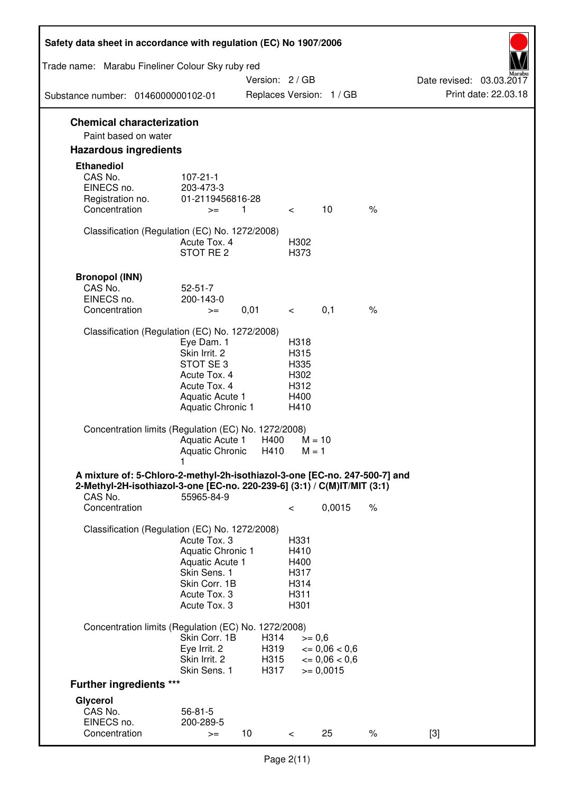| Safety data sheet in accordance with regulation (EC) No 1907/2006                                                                                                 |                                                                                                                       |                      |                                                      |                                              |      |                                                  |
|-------------------------------------------------------------------------------------------------------------------------------------------------------------------|-----------------------------------------------------------------------------------------------------------------------|----------------------|------------------------------------------------------|----------------------------------------------|------|--------------------------------------------------|
| Trade name: Marabu Fineliner Colour Sky ruby red                                                                                                                  |                                                                                                                       |                      |                                                      |                                              |      |                                                  |
| Substance number: 0146000000102-01                                                                                                                                |                                                                                                                       | Version: 2 / GB      |                                                      | Replaces Version: 1 / GB                     |      | Date revised: 03.03.2017<br>Print date: 22.03.18 |
|                                                                                                                                                                   |                                                                                                                       |                      |                                                      |                                              |      |                                                  |
| <b>Chemical characterization</b><br>Paint based on water                                                                                                          |                                                                                                                       |                      |                                                      |                                              |      |                                                  |
| <b>Hazardous ingredients</b>                                                                                                                                      |                                                                                                                       |                      |                                                      |                                              |      |                                                  |
| <b>Ethanediol</b><br>CAS No.<br>EINECS no.<br>Registration no.                                                                                                    | $107 - 21 - 1$<br>203-473-3<br>01-2119456816-28                                                                       |                      |                                                      |                                              |      |                                                  |
| Concentration                                                                                                                                                     | $\overline{1}$<br>$>=$                                                                                                |                      | $\lt$                                                | 10                                           | $\%$ |                                                  |
| Classification (Regulation (EC) No. 1272/2008)                                                                                                                    | Acute Tox. 4<br>STOT RE <sub>2</sub>                                                                                  |                      | H302<br>H373                                         |                                              |      |                                                  |
| <b>Bronopol (INN)</b><br>CAS No.<br>EINECS no.<br>Concentration                                                                                                   | $52 - 51 - 7$<br>200-143-0<br>$>=$                                                                                    | 0,01                 | $\overline{\phantom{0}}$                             | 0,1                                          | $\%$ |                                                  |
| Classification (Regulation (EC) No. 1272/2008)                                                                                                                    |                                                                                                                       |                      |                                                      |                                              |      |                                                  |
|                                                                                                                                                                   | Eye Dam. 1<br>Skin Irrit. 2<br>STOT SE3<br>Acute Tox. 4<br>Acute Tox. 4<br>Aquatic Acute 1<br>Aquatic Chronic 1       |                      | H318<br>H315<br>H335<br>H302<br>H312<br>H400<br>H410 |                                              |      |                                                  |
| Concentration limits (Regulation (EC) No. 1272/2008)                                                                                                              | Aquatic Acute 1<br>Aquatic Chronic                                                                                    | H400<br>H410         | $M = 10$<br>$M = 1$                                  |                                              |      |                                                  |
| A mixture of: 5-Chloro-2-methyl-2h-isothiazol-3-one [EC-no. 247-500-7] and<br>2-Methyl-2H-isothiazol-3-one [EC-no. 220-239-6] (3:1) / C(M)IT/MIT (3:1)<br>CAS No. | 55965-84-9                                                                                                            |                      |                                                      |                                              |      |                                                  |
| Concentration                                                                                                                                                     |                                                                                                                       |                      | $\,<\,$                                              | 0,0015                                       | $\%$ |                                                  |
| Classification (Regulation (EC) No. 1272/2008)                                                                                                                    | Acute Tox. 3<br>Aquatic Chronic 1<br>Aquatic Acute 1<br>Skin Sens. 1<br>Skin Corr. 1B<br>Acute Tox. 3<br>Acute Tox. 3 |                      | H331<br>H410<br>H400<br>H317<br>H314<br>H311<br>H301 |                                              |      |                                                  |
| Concentration limits (Regulation (EC) No. 1272/2008)                                                                                                              | Skin Corr. 1B<br>Eye Irrit. 2<br>Skin Irrit. 2                                                                        | H314<br>H319<br>H315 | $>= 0,6$                                             | $\epsilon = 0.06 < 0.6$<br>$\leq 0.06 < 0.6$ |      |                                                  |
| <b>Further ingredients ***</b>                                                                                                                                    | Skin Sens. 1                                                                                                          | H317                 |                                                      | $>= 0,0015$                                  |      |                                                  |
| Glycerol                                                                                                                                                          |                                                                                                                       |                      |                                                      |                                              |      |                                                  |
| CAS No.<br>EINECS no.<br>Concentration                                                                                                                            | $56 - 81 - 5$<br>200-289-5<br>$>=$                                                                                    | 10                   | $\lt$                                                | 25                                           | $\%$ | $[3]$                                            |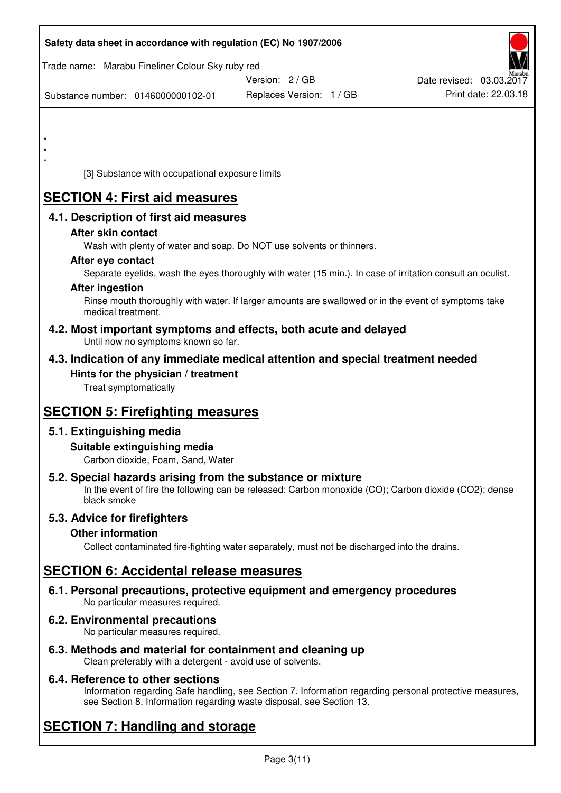|         |                              |                                                                    | Safety data sheet in accordance with regulation (EC) No 1907/2006                                          |                          |
|---------|------------------------------|--------------------------------------------------------------------|------------------------------------------------------------------------------------------------------------|--------------------------|
|         |                              | Trade name: Marabu Fineliner Colour Sky ruby red                   | Version: 2/GB                                                                                              | Date revised: 03.03.2017 |
|         |                              | Substance number: 0146000000102-01                                 | Replaces Version: 1 / GB                                                                                   | Print date: 22.03.18     |
|         |                              |                                                                    |                                                                                                            |                          |
|         |                              |                                                                    |                                                                                                            |                          |
| $\star$ |                              |                                                                    |                                                                                                            |                          |
|         |                              | [3] Substance with occupational exposure limits                    |                                                                                                            |                          |
|         |                              | <b>SECTION 4: First aid measures</b>                               |                                                                                                            |                          |
|         |                              | 4.1. Description of first aid measures                             |                                                                                                            |                          |
|         | After skin contact           |                                                                    |                                                                                                            |                          |
|         |                              |                                                                    | Wash with plenty of water and soap. Do NOT use solvents or thinners.                                       |                          |
|         | After eye contact            |                                                                    | Separate eyelids, wash the eyes thoroughly with water (15 min.). In case of irritation consult an oculist. |                          |
|         | <b>After ingestion</b>       |                                                                    |                                                                                                            |                          |
|         | medical treatment.           |                                                                    | Rinse mouth thoroughly with water. If larger amounts are swallowed or in the event of symptoms take        |                          |
|         |                              | Until now no symptoms known so far.                                | 4.2. Most important symptoms and effects, both acute and delayed                                           |                          |
|         |                              |                                                                    | 4.3. Indication of any immediate medical attention and special treatment needed                            |                          |
|         | Treat symptomatically        | Hints for the physician / treatment                                |                                                                                                            |                          |
|         |                              |                                                                    |                                                                                                            |                          |
|         |                              | <b>SECTION 5: Firefighting measures</b>                            |                                                                                                            |                          |
|         | 5.1. Extinguishing media     |                                                                    |                                                                                                            |                          |
|         |                              | Suitable extinguishing media                                       |                                                                                                            |                          |
|         |                              | Carbon dioxide, Foam, Sand, Water                                  | 5.2. Special hazards arising from the substance or mixture                                                 |                          |
|         | black smoke                  |                                                                    | In the event of fire the following can be released: Carbon monoxide (CO); Carbon dioxide (CO2); dense      |                          |
|         | 5.3. Advice for firefighters |                                                                    |                                                                                                            |                          |
|         | <b>Other information</b>     |                                                                    |                                                                                                            |                          |
|         |                              |                                                                    | Collect contaminated fire-fighting water separately, must not be discharged into the drains.               |                          |
|         |                              | <b>SECTION 6: Accidental release measures</b>                      |                                                                                                            |                          |
|         |                              | No particular measures required.                                   | 6.1. Personal precautions, protective equipment and emergency procedures                                   |                          |
|         |                              | 6.2. Environmental precautions<br>No particular measures required. |                                                                                                            |                          |
|         |                              |                                                                    | 6.3. Methods and material for containment and cleaning up                                                  |                          |

# Clean preferably with a detergent - avoid use of solvents. **6.4. Reference to other sections**

Information regarding Safe handling, see Section 7. Information regarding personal protective measures, see Section 8. Information regarding waste disposal, see Section 13.

# **SECTION 7: Handling and storage**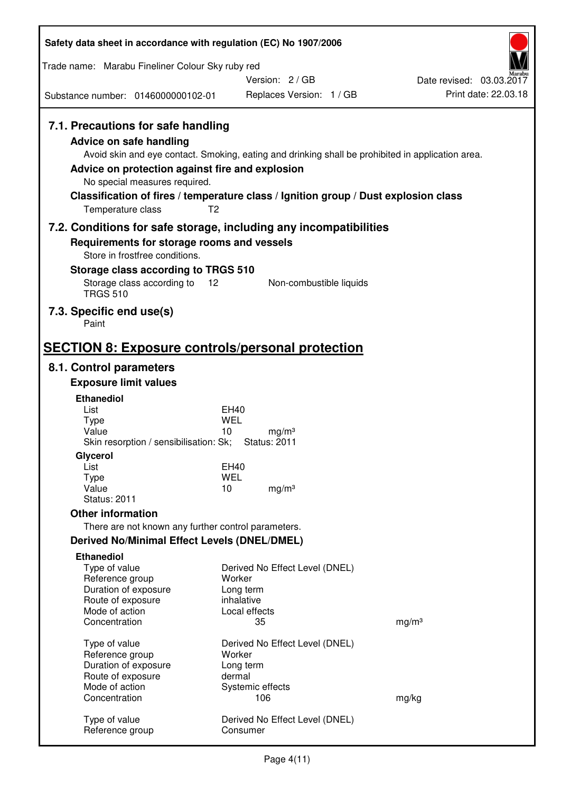| Safety data sheet in accordance with regulation (EC) No 1907/2006                                                                                                             |                                                                                                                                                                                                            |                                                  |
|-------------------------------------------------------------------------------------------------------------------------------------------------------------------------------|------------------------------------------------------------------------------------------------------------------------------------------------------------------------------------------------------------|--------------------------------------------------|
| Trade name: Marabu Fineliner Colour Sky ruby red                                                                                                                              |                                                                                                                                                                                                            |                                                  |
|                                                                                                                                                                               | Version: 2 / GB                                                                                                                                                                                            | Date revised: 03.03.2017<br>Print date: 22.03.18 |
| Substance number: 0146000000102-01                                                                                                                                            | Replaces Version: 1 / GB                                                                                                                                                                                   |                                                  |
| 7.1. Precautions for safe handling<br><b>Advice on safe handling</b><br>Advice on protection against fire and explosion<br>No special measures required.<br>Temperature class | Avoid skin and eye contact. Smoking, eating and drinking shall be prohibited in application area.<br>Classification of fires / temperature class / Ignition group / Dust explosion class<br>T <sub>2</sub> |                                                  |
|                                                                                                                                                                               | 7.2. Conditions for safe storage, including any incompatibilities                                                                                                                                          |                                                  |
| Requirements for storage rooms and vessels<br>Store in frostfree conditions.<br>Storage class according to TRGS 510                                                           |                                                                                                                                                                                                            |                                                  |
| Storage class according to 12<br><b>TRGS 510</b>                                                                                                                              | Non-combustible liquids                                                                                                                                                                                    |                                                  |
| 7.3. Specific end use(s)<br>Paint                                                                                                                                             |                                                                                                                                                                                                            |                                                  |
| <b>SECTION 8: Exposure controls/personal protection</b>                                                                                                                       |                                                                                                                                                                                                            |                                                  |
| 8.1. Control parameters                                                                                                                                                       |                                                                                                                                                                                                            |                                                  |
| <b>Exposure limit values</b>                                                                                                                                                  |                                                                                                                                                                                                            |                                                  |
| <b>Ethanediol</b><br>List                                                                                                                                                     | <b>EH40</b>                                                                                                                                                                                                |                                                  |
| <b>Type</b>                                                                                                                                                                   | <b>WEL</b>                                                                                                                                                                                                 |                                                  |
| Value<br>Skin resorption / sensibilisation: Sk;                                                                                                                               | 10<br>mg/m <sup>3</sup><br><b>Status: 2011</b>                                                                                                                                                             |                                                  |
| Glycerol                                                                                                                                                                      |                                                                                                                                                                                                            |                                                  |
| List<br>Type                                                                                                                                                                  | <b>EH40</b><br><b>WEL</b>                                                                                                                                                                                  |                                                  |
| Value                                                                                                                                                                         | 10<br>mg/m <sup>3</sup>                                                                                                                                                                                    |                                                  |
| <b>Status: 2011</b>                                                                                                                                                           |                                                                                                                                                                                                            |                                                  |
| <b>Other information</b><br>There are not known any further control parameters.                                                                                               |                                                                                                                                                                                                            |                                                  |
| Derived No/Minimal Effect Levels (DNEL/DMEL)                                                                                                                                  |                                                                                                                                                                                                            |                                                  |
| <b>Ethanediol</b>                                                                                                                                                             |                                                                                                                                                                                                            |                                                  |
| Type of value                                                                                                                                                                 | Derived No Effect Level (DNEL)                                                                                                                                                                             |                                                  |
| Reference group<br>Duration of exposure                                                                                                                                       | Worker<br>Long term                                                                                                                                                                                        |                                                  |
| Route of exposure                                                                                                                                                             | inhalative                                                                                                                                                                                                 |                                                  |
| Mode of action                                                                                                                                                                | Local effects                                                                                                                                                                                              |                                                  |
| Concentration                                                                                                                                                                 | 35                                                                                                                                                                                                         | mg/m <sup>3</sup>                                |
| Type of value                                                                                                                                                                 | Derived No Effect Level (DNEL)                                                                                                                                                                             |                                                  |
| Reference group<br>Duration of exposure                                                                                                                                       | Worker<br>Long term                                                                                                                                                                                        |                                                  |
| Route of exposure                                                                                                                                                             | dermal                                                                                                                                                                                                     |                                                  |
| Mode of action<br>Concentration                                                                                                                                               | Systemic effects<br>106                                                                                                                                                                                    | mg/kg                                            |
|                                                                                                                                                                               |                                                                                                                                                                                                            |                                                  |
| Type of value<br>Reference group                                                                                                                                              | Derived No Effect Level (DNEL)<br>Consumer                                                                                                                                                                 |                                                  |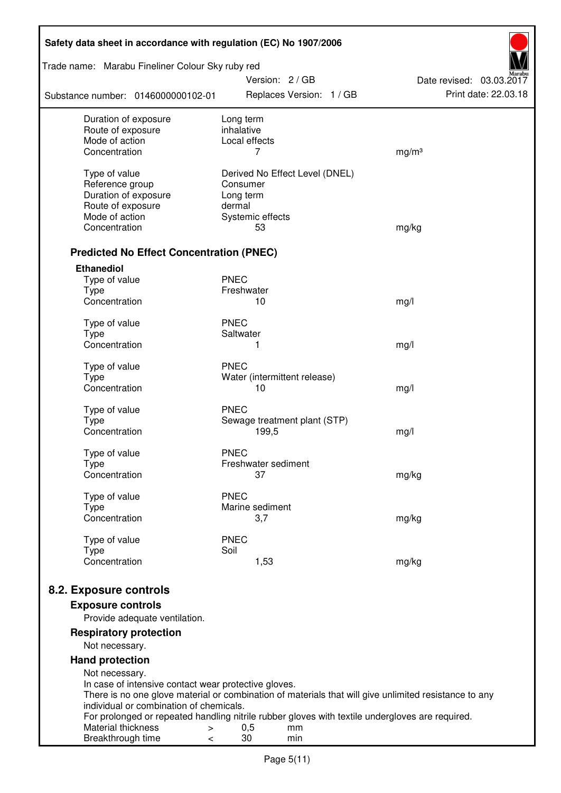| Safety data sheet in accordance with regulation (EC) No 1907/2006      |                                                                                                       |                                                  |  |  |
|------------------------------------------------------------------------|-------------------------------------------------------------------------------------------------------|--------------------------------------------------|--|--|
| Trade name: Marabu Fineliner Colour Sky ruby red                       | Version: 2 / GB                                                                                       |                                                  |  |  |
| Substance number: 0146000000102-01                                     | Replaces Version: 1 / GB                                                                              | Date revised: 03.03.2017<br>Print date: 22.03.18 |  |  |
| Duration of exposure                                                   | Long term                                                                                             |                                                  |  |  |
| Route of exposure<br>Mode of action                                    | inhalative<br>Local effects                                                                           |                                                  |  |  |
| Concentration                                                          | 7                                                                                                     | mg/m <sup>3</sup>                                |  |  |
|                                                                        |                                                                                                       |                                                  |  |  |
| Type of value                                                          | Derived No Effect Level (DNEL)                                                                        |                                                  |  |  |
| Reference group                                                        | Consumer                                                                                              |                                                  |  |  |
| Duration of exposure<br>Route of exposure                              | Long term<br>dermal                                                                                   |                                                  |  |  |
| Mode of action                                                         | Systemic effects                                                                                      |                                                  |  |  |
| Concentration                                                          | 53                                                                                                    | mg/kg                                            |  |  |
|                                                                        |                                                                                                       |                                                  |  |  |
| <b>Predicted No Effect Concentration (PNEC)</b>                        |                                                                                                       |                                                  |  |  |
| <b>Ethanediol</b>                                                      |                                                                                                       |                                                  |  |  |
| Type of value                                                          | <b>PNEC</b>                                                                                           |                                                  |  |  |
| <b>Type</b><br>Concentration                                           | Freshwater<br>10                                                                                      |                                                  |  |  |
|                                                                        |                                                                                                       | mg/l                                             |  |  |
| Type of value                                                          | <b>PNEC</b>                                                                                           |                                                  |  |  |
| <b>Type</b>                                                            | Saltwater                                                                                             |                                                  |  |  |
| Concentration                                                          | 1                                                                                                     | mg/l                                             |  |  |
| Type of value                                                          | <b>PNEC</b>                                                                                           |                                                  |  |  |
| <b>Type</b>                                                            | Water (intermittent release)                                                                          |                                                  |  |  |
| Concentration                                                          | 10                                                                                                    | mg/l                                             |  |  |
| Type of value                                                          | <b>PNEC</b>                                                                                           |                                                  |  |  |
| <b>Type</b>                                                            | Sewage treatment plant (STP)                                                                          |                                                  |  |  |
| Concentration                                                          | 199,5                                                                                                 | mg/l                                             |  |  |
|                                                                        |                                                                                                       |                                                  |  |  |
| Type of value<br>Type                                                  | <b>PNEC</b><br>Freshwater sediment                                                                    |                                                  |  |  |
| Concentration                                                          | 37                                                                                                    | mg/kg                                            |  |  |
|                                                                        |                                                                                                       |                                                  |  |  |
| Type of value                                                          | <b>PNEC</b><br>Marine sediment                                                                        |                                                  |  |  |
| <b>Type</b><br>Concentration                                           | 3,7                                                                                                   | mg/kg                                            |  |  |
|                                                                        |                                                                                                       |                                                  |  |  |
| Type of value                                                          | <b>PNEC</b>                                                                                           |                                                  |  |  |
| <b>Type</b><br>Concentration                                           | Soil<br>1,53                                                                                          | mg/kg                                            |  |  |
|                                                                        |                                                                                                       |                                                  |  |  |
| 8.2. Exposure controls                                                 |                                                                                                       |                                                  |  |  |
| <b>Exposure controls</b>                                               |                                                                                                       |                                                  |  |  |
| Provide adequate ventilation.                                          |                                                                                                       |                                                  |  |  |
| <b>Respiratory protection</b>                                          |                                                                                                       |                                                  |  |  |
| Not necessary.                                                         |                                                                                                       |                                                  |  |  |
| <b>Hand protection</b>                                                 |                                                                                                       |                                                  |  |  |
| Not necessary.<br>In case of intensive contact wear protective gloves. |                                                                                                       |                                                  |  |  |
|                                                                        | There is no one glove material or combination of materials that will give unlimited resistance to any |                                                  |  |  |
| individual or combination of chemicals.                                |                                                                                                       |                                                  |  |  |
|                                                                        | For prolonged or repeated handling nitrile rubber gloves with textile undergloves are required.       |                                                  |  |  |
| Material thickness<br>>                                                | 0,5<br>mm                                                                                             |                                                  |  |  |
| Breakthrough time<br><                                                 | 30<br>min                                                                                             |                                                  |  |  |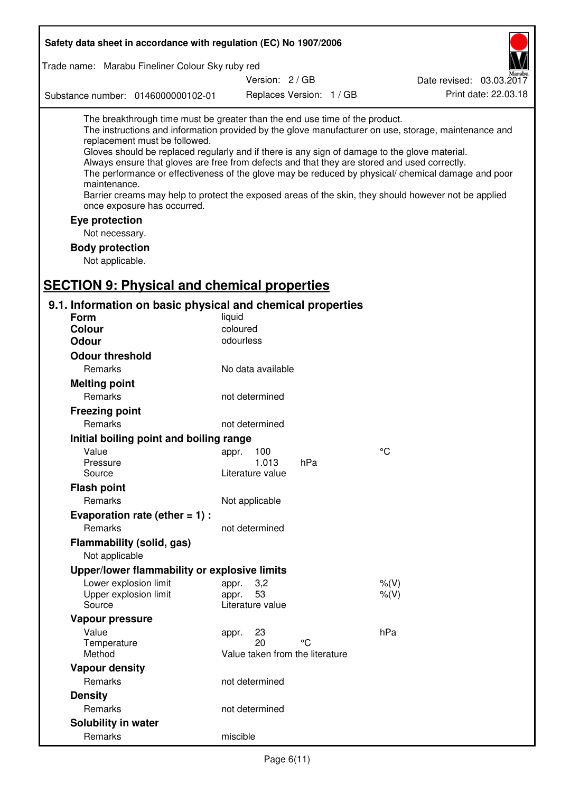| Safety data sheet in accordance with regulation (EC) No 1907/2006                                                                                                                                                                                                                                                                                            |                                 |                          |                                                                                                                                                                                                                                                                                                                    |
|--------------------------------------------------------------------------------------------------------------------------------------------------------------------------------------------------------------------------------------------------------------------------------------------------------------------------------------------------------------|---------------------------------|--------------------------|--------------------------------------------------------------------------------------------------------------------------------------------------------------------------------------------------------------------------------------------------------------------------------------------------------------------|
| Trade name: Marabu Fineliner Colour Sky ruby red                                                                                                                                                                                                                                                                                                             |                                 |                          |                                                                                                                                                                                                                                                                                                                    |
|                                                                                                                                                                                                                                                                                                                                                              | Version: 2/GB                   |                          | Date revised: 03.03.2017                                                                                                                                                                                                                                                                                           |
| Substance number: 0146000000102-01                                                                                                                                                                                                                                                                                                                           |                                 | Replaces Version: 1 / GB | Print date: 22.03.18                                                                                                                                                                                                                                                                                               |
| The breakthrough time must be greater than the end use time of the product.<br>replacement must be followed.<br>Gloves should be replaced regularly and if there is any sign of damage to the glove material.<br>Always ensure that gloves are free from defects and that they are stored and used correctly.<br>maintenance.<br>once exposure has occurred. |                                 |                          | The instructions and information provided by the glove manufacturer on use, storage, maintenance and<br>The performance or effectiveness of the glove may be reduced by physical/ chemical damage and poor<br>Barrier creams may help to protect the exposed areas of the skin, they should however not be applied |
| Eye protection                                                                                                                                                                                                                                                                                                                                               |                                 |                          |                                                                                                                                                                                                                                                                                                                    |
| Not necessary.                                                                                                                                                                                                                                                                                                                                               |                                 |                          |                                                                                                                                                                                                                                                                                                                    |
| <b>Body protection</b>                                                                                                                                                                                                                                                                                                                                       |                                 |                          |                                                                                                                                                                                                                                                                                                                    |
| Not applicable.                                                                                                                                                                                                                                                                                                                                              |                                 |                          |                                                                                                                                                                                                                                                                                                                    |
| <b>SECTION 9: Physical and chemical properties</b>                                                                                                                                                                                                                                                                                                           |                                 |                          |                                                                                                                                                                                                                                                                                                                    |
|                                                                                                                                                                                                                                                                                                                                                              |                                 |                          |                                                                                                                                                                                                                                                                                                                    |
| 9.1. Information on basic physical and chemical properties<br><b>Form</b>                                                                                                                                                                                                                                                                                    | liquid                          |                          |                                                                                                                                                                                                                                                                                                                    |
| Colour                                                                                                                                                                                                                                                                                                                                                       | coloured                        |                          |                                                                                                                                                                                                                                                                                                                    |
| <b>Odour</b>                                                                                                                                                                                                                                                                                                                                                 | odourless                       |                          |                                                                                                                                                                                                                                                                                                                    |
| <b>Odour threshold</b>                                                                                                                                                                                                                                                                                                                                       |                                 |                          |                                                                                                                                                                                                                                                                                                                    |
| Remarks                                                                                                                                                                                                                                                                                                                                                      | No data available               |                          |                                                                                                                                                                                                                                                                                                                    |
| <b>Melting point</b>                                                                                                                                                                                                                                                                                                                                         |                                 |                          |                                                                                                                                                                                                                                                                                                                    |
| Remarks                                                                                                                                                                                                                                                                                                                                                      | not determined                  |                          |                                                                                                                                                                                                                                                                                                                    |
| <b>Freezing point</b>                                                                                                                                                                                                                                                                                                                                        |                                 |                          |                                                                                                                                                                                                                                                                                                                    |
| Remarks                                                                                                                                                                                                                                                                                                                                                      | not determined                  |                          |                                                                                                                                                                                                                                                                                                                    |
| Initial boiling point and boiling range                                                                                                                                                                                                                                                                                                                      |                                 |                          |                                                                                                                                                                                                                                                                                                                    |
| Value                                                                                                                                                                                                                                                                                                                                                        | appr. 100                       |                          | $^{\circ}C$                                                                                                                                                                                                                                                                                                        |
| Pressure                                                                                                                                                                                                                                                                                                                                                     | 1.013                           | hPa                      |                                                                                                                                                                                                                                                                                                                    |
| Source                                                                                                                                                                                                                                                                                                                                                       | Literature value                |                          |                                                                                                                                                                                                                                                                                                                    |
| <b>Flash point</b>                                                                                                                                                                                                                                                                                                                                           |                                 |                          |                                                                                                                                                                                                                                                                                                                    |
| Remarks                                                                                                                                                                                                                                                                                                                                                      | Not applicable                  |                          |                                                                                                                                                                                                                                                                                                                    |
| Evaporation rate (ether $= 1$ ) :                                                                                                                                                                                                                                                                                                                            |                                 |                          |                                                                                                                                                                                                                                                                                                                    |
| <b>Remarks</b>                                                                                                                                                                                                                                                                                                                                               | not determined                  |                          |                                                                                                                                                                                                                                                                                                                    |
| <b>Flammability (solid, gas)</b>                                                                                                                                                                                                                                                                                                                             |                                 |                          |                                                                                                                                                                                                                                                                                                                    |
| Not applicable                                                                                                                                                                                                                                                                                                                                               |                                 |                          |                                                                                                                                                                                                                                                                                                                    |
| Upper/lower flammability or explosive limits                                                                                                                                                                                                                                                                                                                 |                                 |                          |                                                                                                                                                                                                                                                                                                                    |
| Lower explosion limit                                                                                                                                                                                                                                                                                                                                        | 3,2<br>appr.                    |                          | $%$ (V)                                                                                                                                                                                                                                                                                                            |
| Upper explosion limit                                                                                                                                                                                                                                                                                                                                        | 53<br>appr.                     |                          | $%$ (V)                                                                                                                                                                                                                                                                                                            |
| Source                                                                                                                                                                                                                                                                                                                                                       | Literature value                |                          |                                                                                                                                                                                                                                                                                                                    |
| Vapour pressure                                                                                                                                                                                                                                                                                                                                              |                                 |                          |                                                                                                                                                                                                                                                                                                                    |
| Value                                                                                                                                                                                                                                                                                                                                                        | 23<br>appr.<br>20               | °C                       | hPa                                                                                                                                                                                                                                                                                                                |
| Temperature<br>Method                                                                                                                                                                                                                                                                                                                                        | Value taken from the literature |                          |                                                                                                                                                                                                                                                                                                                    |
| <b>Vapour density</b>                                                                                                                                                                                                                                                                                                                                        |                                 |                          |                                                                                                                                                                                                                                                                                                                    |
| Remarks                                                                                                                                                                                                                                                                                                                                                      | not determined                  |                          |                                                                                                                                                                                                                                                                                                                    |
| <b>Density</b>                                                                                                                                                                                                                                                                                                                                               |                                 |                          |                                                                                                                                                                                                                                                                                                                    |
| Remarks                                                                                                                                                                                                                                                                                                                                                      | not determined                  |                          |                                                                                                                                                                                                                                                                                                                    |
| Solubility in water                                                                                                                                                                                                                                                                                                                                          |                                 |                          |                                                                                                                                                                                                                                                                                                                    |
| Remarks                                                                                                                                                                                                                                                                                                                                                      | miscible                        |                          |                                                                                                                                                                                                                                                                                                                    |
|                                                                                                                                                                                                                                                                                                                                                              |                                 |                          |                                                                                                                                                                                                                                                                                                                    |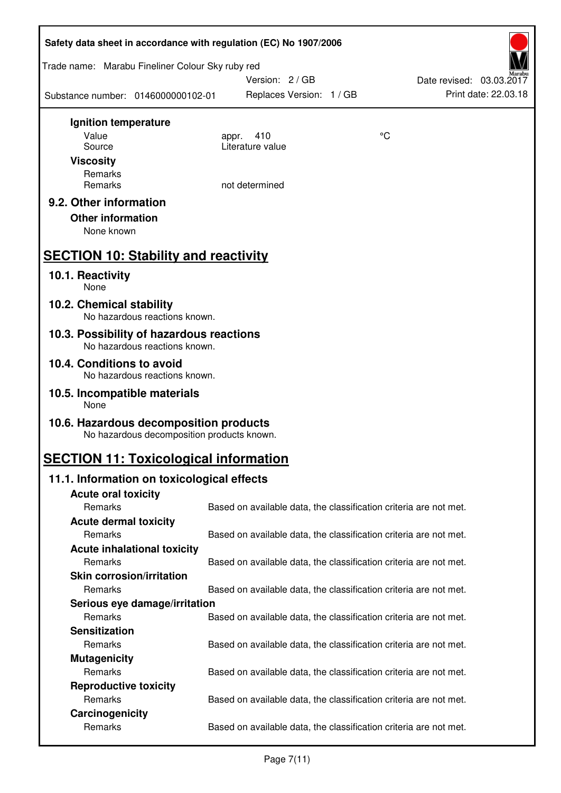| Safety data sheet in accordance with regulation (EC) No 1907/2006                    |                                                                   |    |                          |  |
|--------------------------------------------------------------------------------------|-------------------------------------------------------------------|----|--------------------------|--|
| Trade name: Marabu Fineliner Colour Sky ruby red                                     | Version: 2/GB                                                     |    | Date revised: 03.03.2017 |  |
| Substance number: 0146000000102-01                                                   | Replaces Version: 1 / GB                                          |    | Print date: 22.03.18     |  |
| Ignition temperature                                                                 |                                                                   |    |                          |  |
| Value                                                                                | 410<br>appr.                                                      | °C |                          |  |
| Source                                                                               | Literature value                                                  |    |                          |  |
| <b>Viscosity</b>                                                                     |                                                                   |    |                          |  |
| Remarks<br>Remarks                                                                   | not determined                                                    |    |                          |  |
|                                                                                      |                                                                   |    |                          |  |
| 9.2. Other information<br><b>Other information</b><br>None known                     |                                                                   |    |                          |  |
| <b>SECTION 10: Stability and reactivity</b>                                          |                                                                   |    |                          |  |
| 10.1. Reactivity<br><b>None</b>                                                      |                                                                   |    |                          |  |
| 10.2. Chemical stability<br>No hazardous reactions known.                            |                                                                   |    |                          |  |
| 10.3. Possibility of hazardous reactions<br>No hazardous reactions known.            |                                                                   |    |                          |  |
| 10.4. Conditions to avoid<br>No hazardous reactions known.                           |                                                                   |    |                          |  |
| 10.5. Incompatible materials<br>None                                                 |                                                                   |    |                          |  |
| 10.6. Hazardous decomposition products<br>No hazardous decomposition products known. |                                                                   |    |                          |  |
| <b>SECTION 11: Toxicological information</b>                                         |                                                                   |    |                          |  |
| 11.1. Information on toxicological effects                                           |                                                                   |    |                          |  |
| <b>Acute oral toxicity</b>                                                           |                                                                   |    |                          |  |
| Remarks                                                                              | Based on available data, the classification criteria are not met. |    |                          |  |
| <b>Acute dermal toxicity</b>                                                         |                                                                   |    |                          |  |
| Remarks                                                                              | Based on available data, the classification criteria are not met. |    |                          |  |
| <b>Acute inhalational toxicity</b>                                                   |                                                                   |    |                          |  |
| Remarks                                                                              | Based on available data, the classification criteria are not met. |    |                          |  |
| <b>Skin corrosion/irritation</b>                                                     |                                                                   |    |                          |  |
| Remarks                                                                              | Based on available data, the classification criteria are not met. |    |                          |  |
| Serious eye damage/irritation                                                        |                                                                   |    |                          |  |
| Remarks                                                                              | Based on available data, the classification criteria are not met. |    |                          |  |
| <b>Sensitization</b><br>Remarks                                                      |                                                                   |    |                          |  |
|                                                                                      | Based on available data, the classification criteria are not met. |    |                          |  |
| <b>Mutagenicity</b><br>Remarks                                                       | Based on available data, the classification criteria are not met. |    |                          |  |
| <b>Reproductive toxicity</b>                                                         |                                                                   |    |                          |  |
| Remarks                                                                              | Based on available data, the classification criteria are not met. |    |                          |  |
| Carcinogenicity                                                                      |                                                                   |    |                          |  |
| Remarks                                                                              | Based on available data, the classification criteria are not met. |    |                          |  |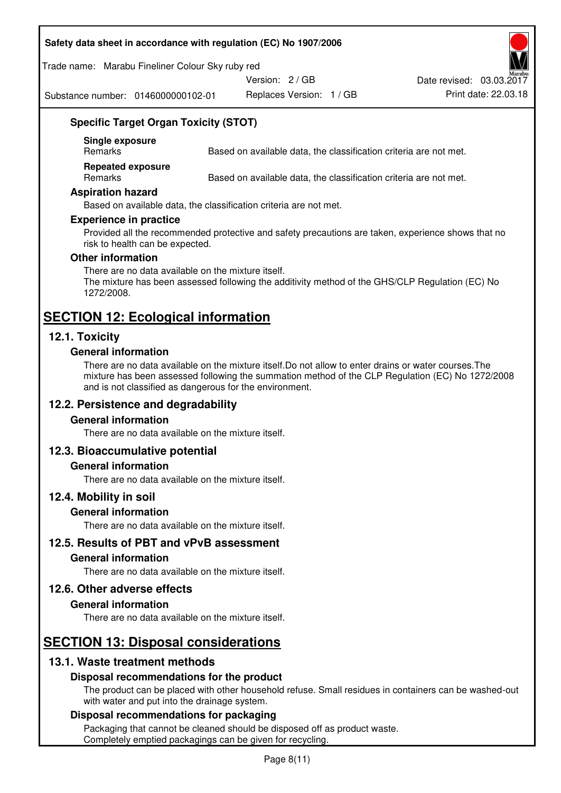#### **Safety data sheet in accordance with regulation (EC) No 1907/2006**

Trade name: Marabu Fineliner Colour Sky ruby red

Version: 2 / GB

Substance number: 0146000000102-01

Replaces Version: 1 / GB Print date: 22.03.18 Date revised: 03.03.2017



# **Specific Target Organ Toxicity (STOT)**

**Single exposure** 

Based on available data, the classification criteria are not met.

**Repeated exposure** 

Remarks Based on available data, the classification criteria are not met.

#### **Aspiration hazard**

Based on available data, the classification criteria are not met.

#### **Experience in practice**

Provided all the recommended protective and safety precautions are taken, experience shows that no risk to health can be expected.

#### **Other information**

There are no data available on the mixture itself. The mixture has been assessed following the additivity method of the GHS/CLP Regulation (EC) No 1272/2008.

# **SECTION 12: Ecological information**

# **12.1. Toxicity**

#### **General information**

There are no data available on the mixture itself.Do not allow to enter drains or water courses.The mixture has been assessed following the summation method of the CLP Regulation (EC) No 1272/2008 and is not classified as dangerous for the environment.

# **12.2. Persistence and degradability**

#### **General information**

There are no data available on the mixture itself.

# **12.3. Bioaccumulative potential**

#### **General information**

There are no data available on the mixture itself.

#### **12.4. Mobility in soil**

#### **General information**

There are no data available on the mixture itself.

**12.5. Results of PBT and vPvB assessment** 

#### **General information**

There are no data available on the mixture itself.

#### **12.6. Other adverse effects**

#### **General information**

There are no data available on the mixture itself.

# **SECTION 13: Disposal considerations**

# **13.1. Waste treatment methods**

# **Disposal recommendations for the product**

The product can be placed with other household refuse. Small residues in containers can be washed-out with water and put into the drainage system.

#### **Disposal recommendations for packaging**

Packaging that cannot be cleaned should be disposed off as product waste. Completely emptied packagings can be given for recycling.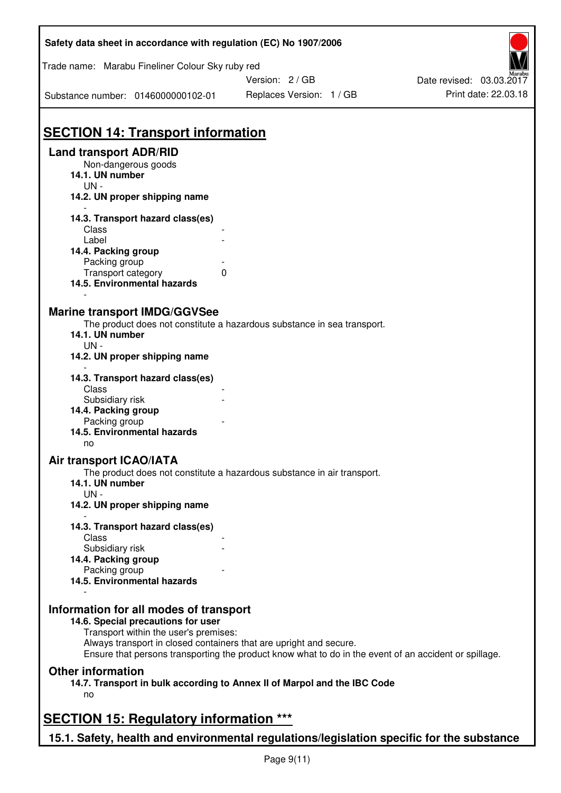| Safety data sheet in accordance with regulation (EC) No 1907/2006                                                     |                                                                                                                                                                             |                          |
|-----------------------------------------------------------------------------------------------------------------------|-----------------------------------------------------------------------------------------------------------------------------------------------------------------------------|--------------------------|
| Trade name: Marabu Fineliner Colour Sky ruby red                                                                      | Version: 2/GB                                                                                                                                                               | Date revised: 03.03.2017 |
| Substance number: 0146000000102-01                                                                                    | Replaces Version: 1 / GB                                                                                                                                                    | Print date: 22.03.18     |
| <b>SECTION 14: Transport information</b>                                                                              |                                                                                                                                                                             |                          |
| <b>Land transport ADR/RID</b><br>Non-dangerous goods<br>14.1. UN number<br>$UN -$                                     |                                                                                                                                                                             |                          |
| 14.2. UN proper shipping name                                                                                         |                                                                                                                                                                             |                          |
| 14.3. Transport hazard class(es)<br>Class<br>Label<br>14.4. Packing group<br>Packing group                            |                                                                                                                                                                             |                          |
| Transport category<br>14.5. Environmental hazards                                                                     | 0                                                                                                                                                                           |                          |
| <b>Marine transport IMDG/GGVSee</b><br>14.1. UN number<br>UN-<br>14.2. UN proper shipping name                        | The product does not constitute a hazardous substance in sea transport.                                                                                                     |                          |
| 14.3. Transport hazard class(es)<br>Class<br>Subsidiary risk<br>14.4. Packing group                                   |                                                                                                                                                                             |                          |
| Packing group<br>14.5. Environmental hazards<br>no                                                                    |                                                                                                                                                                             |                          |
| <b>Air transport ICAO/IATA</b><br>14.1. UN number<br>$UN -$<br>14.2. UN proper shipping name                          | The product does not constitute a hazardous substance in air transport.                                                                                                     |                          |
| 14.3. Transport hazard class(es)<br>Class                                                                             |                                                                                                                                                                             |                          |
| Subsidiary risk<br>14.4. Packing group<br>Packing group<br>14.5. Environmental hazards                                |                                                                                                                                                                             |                          |
| Information for all modes of transport<br>14.6. Special precautions for user<br>Transport within the user's premises: | Always transport in closed containers that are upright and secure.<br>Ensure that persons transporting the product know what to do in the event of an accident or spillage. |                          |
| <b>Other information</b><br>no                                                                                        | 14.7. Transport in bulk according to Annex II of Marpol and the IBC Code                                                                                                    |                          |
| <b>SECTION 15: Regulatory information ***</b>                                                                         |                                                                                                                                                                             |                          |
| 15.1. Safety, health and environmental regulations/legislation specific for the substance                             |                                                                                                                                                                             |                          |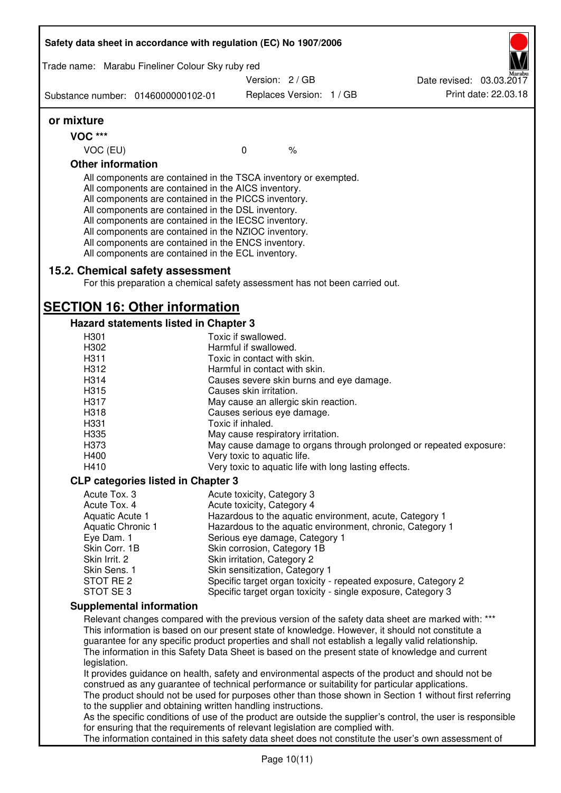|                                    | Trade name: Marabu Fineliner Colour Sky ruby red                                                                                                                                                                                                                                                                                                                                                                                                                  |                                                              |  |                                                                                                                                                                                                         |
|------------------------------------|-------------------------------------------------------------------------------------------------------------------------------------------------------------------------------------------------------------------------------------------------------------------------------------------------------------------------------------------------------------------------------------------------------------------------------------------------------------------|--------------------------------------------------------------|--|---------------------------------------------------------------------------------------------------------------------------------------------------------------------------------------------------------|
|                                    |                                                                                                                                                                                                                                                                                                                                                                                                                                                                   | Version: 2/GB                                                |  | Date revised: 03.03.2017                                                                                                                                                                                |
| Substance number: 0146000000102-01 |                                                                                                                                                                                                                                                                                                                                                                                                                                                                   | Replaces Version: 1 / GB                                     |  | Print date: 22.03.18                                                                                                                                                                                    |
| or mixture                         |                                                                                                                                                                                                                                                                                                                                                                                                                                                                   |                                                              |  |                                                                                                                                                                                                         |
| <b>VOC ***</b>                     |                                                                                                                                                                                                                                                                                                                                                                                                                                                                   |                                                              |  |                                                                                                                                                                                                         |
| VOC (EU)                           |                                                                                                                                                                                                                                                                                                                                                                                                                                                                   | $\mathbf 0$<br>$\frac{1}{6}$                                 |  |                                                                                                                                                                                                         |
| <b>Other information</b>           |                                                                                                                                                                                                                                                                                                                                                                                                                                                                   |                                                              |  |                                                                                                                                                                                                         |
|                                    | All components are contained in the TSCA inventory or exempted.<br>All components are contained in the AICS inventory.<br>All components are contained in the PICCS inventory.<br>All components are contained in the DSL inventory.<br>All components are contained in the IECSC inventory.<br>All components are contained in the NZIOC inventory.<br>All components are contained in the ENCS inventory.<br>All components are contained in the ECL inventory. |                                                              |  |                                                                                                                                                                                                         |
|                                    | 15.2. Chemical safety assessment<br>For this preparation a chemical safety assessment has not been carried out.                                                                                                                                                                                                                                                                                                                                                   |                                                              |  |                                                                                                                                                                                                         |
|                                    | <b>SECTION 16: Other information</b>                                                                                                                                                                                                                                                                                                                                                                                                                              |                                                              |  |                                                                                                                                                                                                         |
|                                    | Hazard statements listed in Chapter 3                                                                                                                                                                                                                                                                                                                                                                                                                             |                                                              |  |                                                                                                                                                                                                         |
| H301                               |                                                                                                                                                                                                                                                                                                                                                                                                                                                                   | Toxic if swallowed.                                          |  |                                                                                                                                                                                                         |
| H302                               |                                                                                                                                                                                                                                                                                                                                                                                                                                                                   | Harmful if swallowed.                                        |  |                                                                                                                                                                                                         |
| H <sub>3</sub> 11                  |                                                                                                                                                                                                                                                                                                                                                                                                                                                                   | Toxic in contact with skin.                                  |  |                                                                                                                                                                                                         |
| H312                               |                                                                                                                                                                                                                                                                                                                                                                                                                                                                   | Harmful in contact with skin.                                |  |                                                                                                                                                                                                         |
| H314                               |                                                                                                                                                                                                                                                                                                                                                                                                                                                                   | Causes severe skin burns and eye damage.                     |  |                                                                                                                                                                                                         |
| H315                               |                                                                                                                                                                                                                                                                                                                                                                                                                                                                   | Causes skin irritation.                                      |  |                                                                                                                                                                                                         |
| H317                               |                                                                                                                                                                                                                                                                                                                                                                                                                                                                   | May cause an allergic skin reaction.                         |  |                                                                                                                                                                                                         |
| H318                               |                                                                                                                                                                                                                                                                                                                                                                                                                                                                   | Causes serious eye damage.                                   |  |                                                                                                                                                                                                         |
| H331                               |                                                                                                                                                                                                                                                                                                                                                                                                                                                                   | Toxic if inhaled.                                            |  |                                                                                                                                                                                                         |
| H335                               |                                                                                                                                                                                                                                                                                                                                                                                                                                                                   | May cause respiratory irritation.                            |  |                                                                                                                                                                                                         |
| H373                               |                                                                                                                                                                                                                                                                                                                                                                                                                                                                   |                                                              |  | May cause damage to organs through prolonged or repeated exposure:                                                                                                                                      |
| H400                               |                                                                                                                                                                                                                                                                                                                                                                                                                                                                   | Very toxic to aquatic life.                                  |  |                                                                                                                                                                                                         |
| H410                               |                                                                                                                                                                                                                                                                                                                                                                                                                                                                   | Very toxic to aquatic life with long lasting effects.        |  |                                                                                                                                                                                                         |
|                                    | <b>CLP categories listed in Chapter 3</b>                                                                                                                                                                                                                                                                                                                                                                                                                         |                                                              |  |                                                                                                                                                                                                         |
| Acute Tox. 3                       |                                                                                                                                                                                                                                                                                                                                                                                                                                                                   | Acute toxicity, Category 3                                   |  |                                                                                                                                                                                                         |
| Acute Tox. 4                       |                                                                                                                                                                                                                                                                                                                                                                                                                                                                   | Acute toxicity, Category 4                                   |  |                                                                                                                                                                                                         |
| Aquatic Acute 1                    |                                                                                                                                                                                                                                                                                                                                                                                                                                                                   | Hazardous to the aquatic environment, acute, Category 1      |  |                                                                                                                                                                                                         |
| <b>Aquatic Chronic 1</b>           |                                                                                                                                                                                                                                                                                                                                                                                                                                                                   |                                                              |  | Hazardous to the aquatic environment, chronic, Category 1                                                                                                                                               |
| Eye Dam. 1                         |                                                                                                                                                                                                                                                                                                                                                                                                                                                                   | Serious eye damage, Category 1                               |  |                                                                                                                                                                                                         |
| Skin Corr. 1B                      |                                                                                                                                                                                                                                                                                                                                                                                                                                                                   | Skin corrosion, Category 1B                                  |  |                                                                                                                                                                                                         |
| Skin Irrit. 2                      |                                                                                                                                                                                                                                                                                                                                                                                                                                                                   | Skin irritation, Category 2                                  |  |                                                                                                                                                                                                         |
| Skin Sens. 1                       |                                                                                                                                                                                                                                                                                                                                                                                                                                                                   | Skin sensitization, Category 1                               |  |                                                                                                                                                                                                         |
| STOT RE <sub>2</sub>               |                                                                                                                                                                                                                                                                                                                                                                                                                                                                   |                                                              |  | Specific target organ toxicity - repeated exposure, Category 2                                                                                                                                          |
| STOT SE3                           |                                                                                                                                                                                                                                                                                                                                                                                                                                                                   | Specific target organ toxicity - single exposure, Category 3 |  |                                                                                                                                                                                                         |
|                                    | <b>Supplemental information</b>                                                                                                                                                                                                                                                                                                                                                                                                                                   |                                                              |  |                                                                                                                                                                                                         |
|                                    |                                                                                                                                                                                                                                                                                                                                                                                                                                                                   |                                                              |  | Relevant changes compared with the previous version of the safety data sheet are marked with: ***                                                                                                       |
|                                    |                                                                                                                                                                                                                                                                                                                                                                                                                                                                   |                                                              |  | This information is based on our present state of knowledge. However, it should not constitute a                                                                                                        |
|                                    |                                                                                                                                                                                                                                                                                                                                                                                                                                                                   |                                                              |  | guarantee for any specific product properties and shall not establish a legally valid relationship.<br>The information in this Safety Data Sheet is based on the present state of knowledge and current |
| legislation.                       |                                                                                                                                                                                                                                                                                                                                                                                                                                                                   |                                                              |  |                                                                                                                                                                                                         |
|                                    |                                                                                                                                                                                                                                                                                                                                                                                                                                                                   |                                                              |  | It provides guidance on health, safety and environmental aspects of the product and should not be                                                                                                       |
|                                    | construed as any guarantee of technical performance or suitability for particular applications.                                                                                                                                                                                                                                                                                                                                                                   |                                                              |  | The product should not be used for purposes other than those shown in Section 1 without first referring                                                                                                 |
|                                    | to the supplier and obtaining written handling instructions.                                                                                                                                                                                                                                                                                                                                                                                                      |                                                              |  |                                                                                                                                                                                                         |
|                                    |                                                                                                                                                                                                                                                                                                                                                                                                                                                                   |                                                              |  | As the specific conditions of use of the product are outside the supplier's control, the user is responsible                                                                                            |
|                                    | for ensuring that the requirements of relevant legislation are complied with.                                                                                                                                                                                                                                                                                                                                                                                     |                                                              |  |                                                                                                                                                                                                         |
|                                    |                                                                                                                                                                                                                                                                                                                                                                                                                                                                   |                                                              |  | The information contained in this safety data sheet does not constitute the user's own assessment of                                                                                                    |